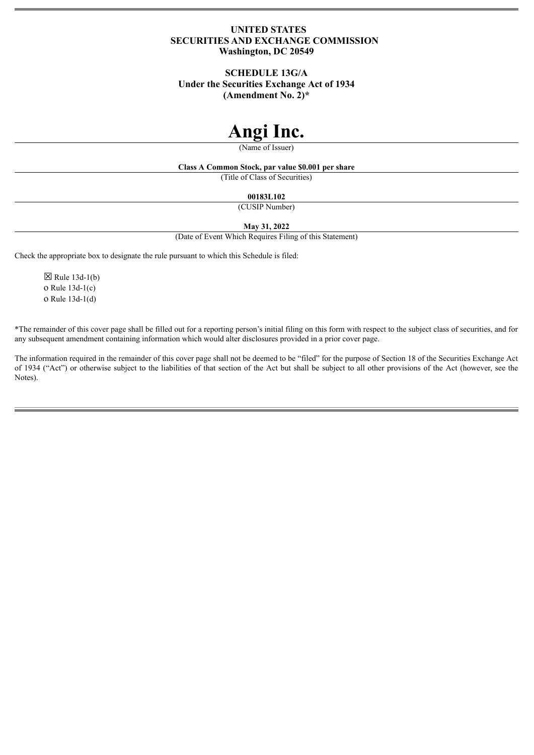## **UNITED STATES SECURITIES AND EXCHANGE COMMISSION Washington, DC 20549**

# **SCHEDULE 13G/A**

**Under the Securities Exchange Act of 1934**

**(Amendment No. 2)\***

# **Angi Inc.**

(Name of Issuer)

# **Class A Common Stock, par value \$0.001 per share**

(Title of Class of Securities)

## **00183L102**

(CUSIP Number)

## **May 31, 2022**

(Date of Event Which Requires Filing of this Statement)

Check the appropriate box to designate the rule pursuant to which this Schedule is filed:

 $\boxtimes$  Rule 13d-1(b) o Rule 13d-1(c) o Rule 13d-1(d)

\*The remainder of this cover page shall be filled out for a reporting person's initial filing on this form with respect to the subject class of securities, and for any subsequent amendment containing information which would alter disclosures provided in a prior cover page.

The information required in the remainder of this cover page shall not be deemed to be "filed" for the purpose of Section 18 of the Securities Exchange Act of 1934 ("Act") or otherwise subject to the liabilities of that section of the Act but shall be subject to all other provisions of the Act (however, see the Notes).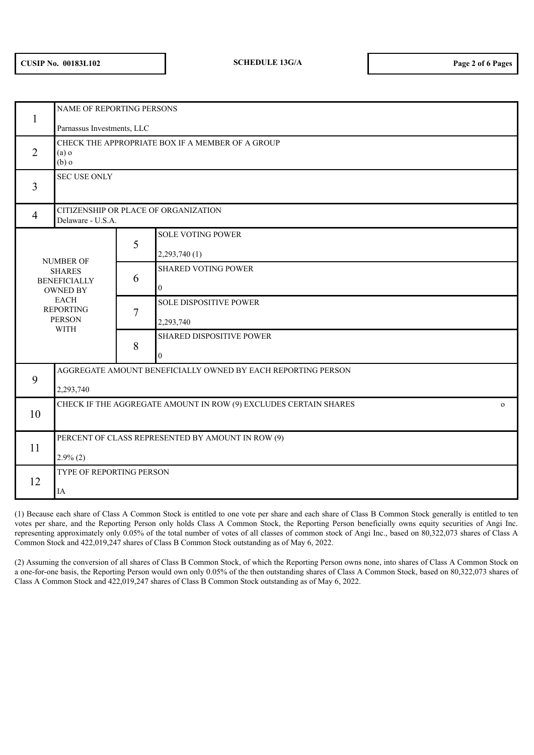| 1                                                                                                                                              | NAME OF REPORTING PERSONS                                                        |   |                               |  |
|------------------------------------------------------------------------------------------------------------------------------------------------|----------------------------------------------------------------------------------|---|-------------------------------|--|
|                                                                                                                                                | Parnassus Investments, LLC                                                       |   |                               |  |
| $\overline{2}$                                                                                                                                 | CHECK THE APPROPRIATE BOX IF A MEMBER OF A GROUP<br>(a)<br>$(b)$ o               |   |                               |  |
| 3                                                                                                                                              | <b>SEC USE ONLY</b>                                                              |   |                               |  |
| $\overline{4}$                                                                                                                                 | CITIZENSHIP OR PLACE OF ORGANIZATION<br>Delaware - U.S.A.                        |   |                               |  |
|                                                                                                                                                |                                                                                  | 5 | <b>SOLE VOTING POWER</b>      |  |
| <b>NUMBER OF</b><br><b>SHARES</b><br><b>BENEFICIALLY</b><br><b>OWNED BY</b><br><b>EACH</b><br><b>REPORTING</b><br><b>PERSON</b><br><b>WITH</b> |                                                                                  |   | 2,293,740(1)                  |  |
|                                                                                                                                                |                                                                                  | 6 | <b>SHARED VOTING POWER</b>    |  |
|                                                                                                                                                |                                                                                  |   | $\overline{0}$                |  |
|                                                                                                                                                |                                                                                  | 7 | <b>SOLE DISPOSITIVE POWER</b> |  |
|                                                                                                                                                |                                                                                  |   | 2,293,740                     |  |
|                                                                                                                                                |                                                                                  | 8 | SHARED DISPOSITIVE POWER      |  |
|                                                                                                                                                |                                                                                  |   | $\mathbf{0}$                  |  |
| 9                                                                                                                                              | AGGREGATE AMOUNT BENEFICIALLY OWNED BY EACH REPORTING PERSON                     |   |                               |  |
|                                                                                                                                                | 2,293,740                                                                        |   |                               |  |
| 10                                                                                                                                             | CHECK IF THE AGGREGATE AMOUNT IN ROW (9) EXCLUDES CERTAIN SHARES<br>$\mathbf{O}$ |   |                               |  |
|                                                                                                                                                |                                                                                  |   |                               |  |
| 11                                                                                                                                             | PERCENT OF CLASS REPRESENTED BY AMOUNT IN ROW (9)                                |   |                               |  |
|                                                                                                                                                | $2.9\%$ (2)                                                                      |   |                               |  |
| 12                                                                                                                                             | TYPE OF REPORTING PERSON                                                         |   |                               |  |
|                                                                                                                                                | IA                                                                               |   |                               |  |

(1) Because each share of Class A Common Stock is entitled to one vote per share and each share of Class B Common Stock generally is entitled to ten votes per share, and the Reporting Person only holds Class A Common Stock, the Reporting Person beneficially owns equity securities of Angi Inc. representing approximately only 0.05% of the total number of votes of all classes of common stock of Angi Inc., based on 80,322,073 shares of Class A Common Stock and 422,019,247 shares of Class B Common Stock outstanding as of May 6, 2022.

(2) Assuming the conversion of all shares of Class B Common Stock, of which the Reporting Person owns none, into shares of Class A Common Stock on a one-for-one basis, the Reporting Person would own only 0.05% of the then outstanding shares of Class A Common Stock, based on 80,322,073 shares of Class A Common Stock and 422,019,247 shares of Class B Common Stock outstanding as of May 6, 2022.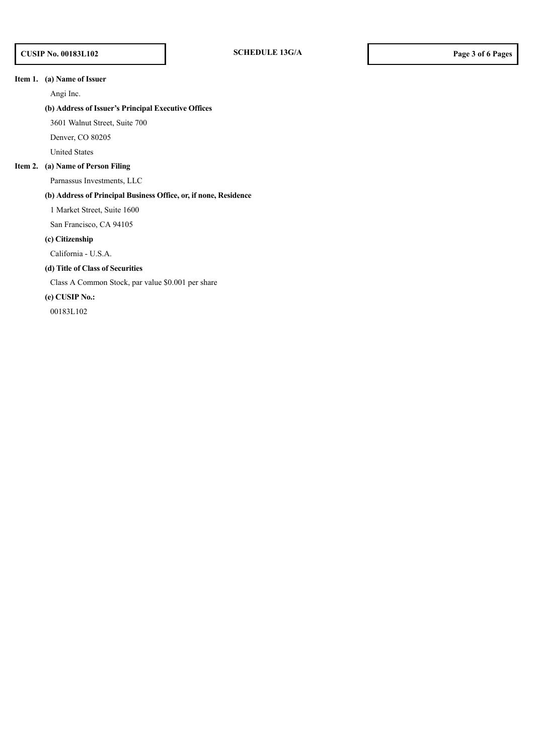## **Item 1. (a) Name of Issuer**

Angi Inc.

## **(b) Address of Issuer's Principal Executive Offices**

3601 Walnut Street, Suite 700

Denver, CO 80205

United States

## **Item 2. (a) Name of Person Filing**

Parnassus Investments, LLC

## **(b) Address of Principal Business Office, or, if none, Residence**

1 Market Street, Suite 1600

San Francisco, CA 94105

## **(c) Citizenship**

California - U.S.A.

## **(d) Title of Class of Securities**

Class A Common Stock, par value \$0.001 per share

#### **(e) CUSIP No.:**

00183L102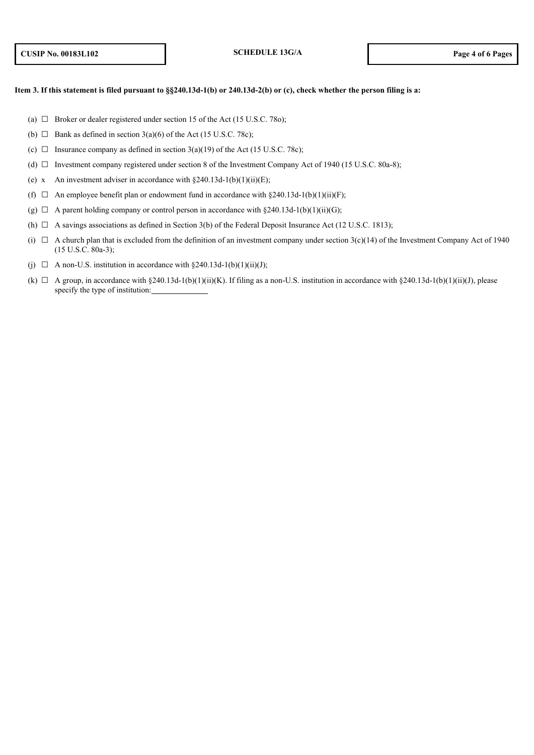#### Item 3. If this statement is filed pursuant to §§240.13d-1(b) or 240.13d-2(b) or (c), check whether the person filing is a:

- (a)  $\Box$  Broker or dealer registered under section 15 of the Act (15 U.S.C. 78o);
- (b)  $\Box$  Bank as defined in section 3(a)(6) of the Act (15 U.S.C. 78c);
- (c)  $\Box$  Insurance company as defined in section 3(a)(19) of the Act (15 U.S.C. 78c);
- (d)  $\Box$  Investment company registered under section 8 of the Investment Company Act of 1940 (15 U.S.C. 80a-8);
- (e) x An investment adviser in accordance with  $\S240.13d-1(b)(1)(ii)(E)$ ;
- (f)  $\Box$  An employee benefit plan or endowment fund in accordance with §240.13d-1(b)(1)(ii)(F);
- (g)  $\Box$  A parent holding company or control person in accordance with §240.13d-1(b)(1)(ii)(G);
- (h)  $\Box$  A savings associations as defined in Section 3(b) of the Federal Deposit Insurance Act (12 U.S.C. 1813);
- (i)  $\Box$  A church plan that is excluded from the definition of an investment company under section 3(c)(14) of the Investment Company Act of 1940 (15 U.S.C. 80a-3);
- (i)  $\Box$  A non-U.S. institution in accordance with §240.13d-1(b)(1)(ii)(J);
- (k)  $\Box$  A group, in accordance with §240.13d-1(b)(1)(ii)(K). If filing as a non-U.S. institution in accordance with §240.13d-1(b)(1)(ii)(J), please specify the type of institution: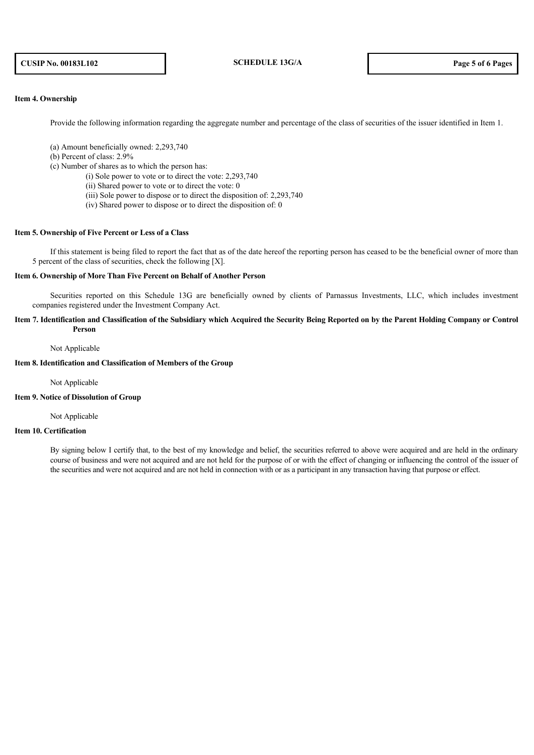## **CUSIP No. 00183L102 SCHEDULE 13G/A Page 5 of 6 Pages**

## **Item 4. Ownership**

Provide the following information regarding the aggregate number and percentage of the class of securities of the issuer identified in Item 1.

- (a) Amount beneficially owned: 2,293,740
- (b) Percent of class: 2.9%
- (c) Number of shares as to which the person has:
	- (i) Sole power to vote or to direct the vote: 2,293,740
	- (ii) Shared power to vote or to direct the vote: 0
	- (iii) Sole power to dispose or to direct the disposition of: 2,293,740
	- (iv) Shared power to dispose or to direct the disposition of: 0

## **Item 5. Ownership of Five Percent or Less of a Class**

If this statement is being filed to report the fact that as of the date hereof the reporting person has ceased to be the beneficial owner of more than 5 percent of the class of securities, check the following [X].

#### **Item 6. Ownership of More Than Five Percent on Behalf of Another Person**

Securities reported on this Schedule 13G are beneficially owned by clients of Parnassus Investments, LLC, which includes investment companies registered under the Investment Company Act.

## Item 7. Identification and Classification of the Subsidiary which Acquired the Security Being Reported on by the Parent Holding Company or Control **Person**

#### Not Applicable

#### **Item 8. Identification and Classification of Members of the Group**

Not Applicable

**Item 9. Notice of Dissolution of Group**

Not Applicable

#### **Item 10. Certification**

By signing below I certify that, to the best of my knowledge and belief, the securities referred to above were acquired and are held in the ordinary course of business and were not acquired and are not held for the purpose of or with the effect of changing or influencing the control of the issuer of the securities and were not acquired and are not held in connection with or as a participant in any transaction having that purpose or effect.